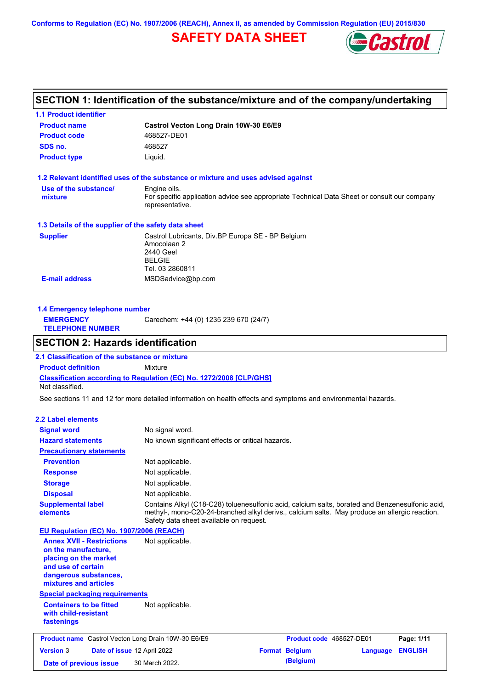**Conforms to Regulation (EC) No. 1907/2006 (REACH), Annex II, as amended by Commission Regulation (EU) 2015/830**

## **SAFETY DATA SHEET**



# **SECTION 1: Identification of the substance/mixture and of the company/undertaking**

**1.1 Product identifier**

| <b>Product name</b>                                                                                                                                      | Castrol Vecton Long Drain 10W-30 E6/E9                                                                                                                                                                                                      |                          |                 |                |
|----------------------------------------------------------------------------------------------------------------------------------------------------------|---------------------------------------------------------------------------------------------------------------------------------------------------------------------------------------------------------------------------------------------|--------------------------|-----------------|----------------|
| <b>Product code</b>                                                                                                                                      | 468527-DE01                                                                                                                                                                                                                                 |                          |                 |                |
| SDS no.                                                                                                                                                  | 468527                                                                                                                                                                                                                                      |                          |                 |                |
| <b>Product type</b>                                                                                                                                      | Liquid.                                                                                                                                                                                                                                     |                          |                 |                |
|                                                                                                                                                          | 1.2 Relevant identified uses of the substance or mixture and uses advised against                                                                                                                                                           |                          |                 |                |
| Use of the substance/<br>mixture                                                                                                                         | Engine oils.<br>For specific application advice see appropriate Technical Data Sheet or consult our company<br>representative.                                                                                                              |                          |                 |                |
| 1.3 Details of the supplier of the safety data sheet                                                                                                     |                                                                                                                                                                                                                                             |                          |                 |                |
| <b>Supplier</b>                                                                                                                                          | Castrol Lubricants, Div.BP Europa SE - BP Belgium<br>Amocolaan 2<br>2440 Geel<br><b>BELGIE</b><br>Tel. 03 2860811                                                                                                                           |                          |                 |                |
| <b>E-mail address</b>                                                                                                                                    | MSDSadvice@bp.com                                                                                                                                                                                                                           |                          |                 |                |
|                                                                                                                                                          |                                                                                                                                                                                                                                             |                          |                 |                |
| 1.4 Emergency telephone number                                                                                                                           |                                                                                                                                                                                                                                             |                          |                 |                |
| <b>EMERGENCY</b><br><b>TELEPHONE NUMBER</b>                                                                                                              | Carechem: +44 (0) 1235 239 670 (24/7)                                                                                                                                                                                                       |                          |                 |                |
| <b>SECTION 2: Hazards identification</b>                                                                                                                 |                                                                                                                                                                                                                                             |                          |                 |                |
| 2.1 Classification of the substance or mixture                                                                                                           |                                                                                                                                                                                                                                             |                          |                 |                |
| <b>Product definition</b>                                                                                                                                | Mixture                                                                                                                                                                                                                                     |                          |                 |                |
| Not classified.                                                                                                                                          | Classification according to Regulation (EC) No. 1272/2008 [CLP/GHS]                                                                                                                                                                         |                          |                 |                |
|                                                                                                                                                          | See sections 11 and 12 for more detailed information on health effects and symptoms and environmental hazards.                                                                                                                              |                          |                 |                |
| <b>2.2 Label elements</b>                                                                                                                                |                                                                                                                                                                                                                                             |                          |                 |                |
| <b>Signal word</b>                                                                                                                                       | No signal word.                                                                                                                                                                                                                             |                          |                 |                |
| <b>Hazard statements</b>                                                                                                                                 | No known significant effects or critical hazards.                                                                                                                                                                                           |                          |                 |                |
| <b>Precautionary statements</b>                                                                                                                          |                                                                                                                                                                                                                                             |                          |                 |                |
| <b>Prevention</b>                                                                                                                                        | Not applicable.                                                                                                                                                                                                                             |                          |                 |                |
| <b>Response</b>                                                                                                                                          | Not applicable.                                                                                                                                                                                                                             |                          |                 |                |
| <b>Storage</b>                                                                                                                                           | Not applicable.                                                                                                                                                                                                                             |                          |                 |                |
| <b>Disposal</b>                                                                                                                                          | Not applicable.                                                                                                                                                                                                                             |                          |                 |                |
| <b>Supplemental label</b><br>elements                                                                                                                    | Contains Alkyl (C18-C28) toluenesulfonic acid, calcium salts, borated and Benzenesulfonic acid,<br>methyl-, mono-C20-24-branched alkyl derivs., calcium salts. May produce an allergic reaction.<br>Safety data sheet available on request. |                          |                 |                |
| EU Regulation (EC) No. 1907/2006 (REACH)                                                                                                                 |                                                                                                                                                                                                                                             |                          |                 |                |
| <b>Annex XVII - Restrictions</b><br>on the manufacture,<br>placing on the market<br>and use of certain<br>dangerous substances,<br>mixtures and articles | Not applicable.                                                                                                                                                                                                                             |                          |                 |                |
| <b>Special packaging requirements</b>                                                                                                                    |                                                                                                                                                                                                                                             |                          |                 |                |
| <b>Containers to be fitted</b><br>with child-resistant<br>fastenings                                                                                     | Not applicable.                                                                                                                                                                                                                             |                          |                 |                |
| <b>Product name</b> Castrol Vecton Long Drain 10W-30 E6/E9                                                                                               |                                                                                                                                                                                                                                             | Product code 468527-DE01 |                 | Page: 1/11     |
| <b>Version 3</b><br>Date of issue 12 April 2022                                                                                                          |                                                                                                                                                                                                                                             | <b>Format Belgium</b>    | <b>Language</b> | <b>ENGLISH</b> |
| Date of previous issue                                                                                                                                   | 30 March 2022.                                                                                                                                                                                                                              | (Belgium)                |                 |                |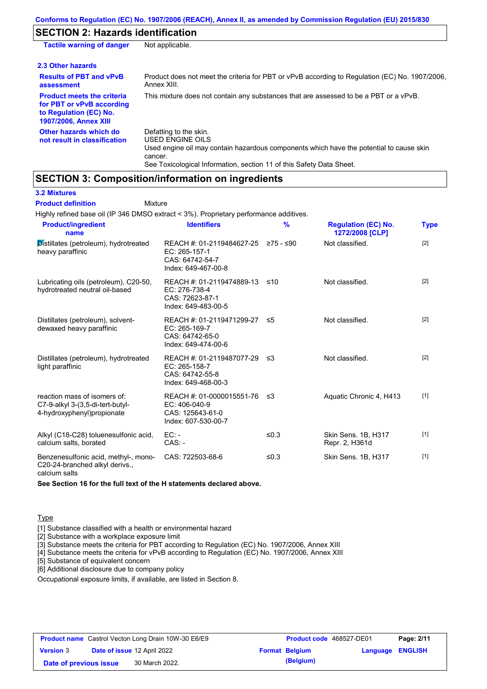## **SECTION 2: Hazards identification**

| <b>Tactile warning of danger</b>                                                                                         | Not applicable.                                                                                                                                                                                                          |
|--------------------------------------------------------------------------------------------------------------------------|--------------------------------------------------------------------------------------------------------------------------------------------------------------------------------------------------------------------------|
| 2.3 Other hazards                                                                                                        |                                                                                                                                                                                                                          |
| <b>Results of PBT and vPvB</b><br>assessment                                                                             | Product does not meet the criteria for PBT or vPvB according to Regulation (EC) No. 1907/2006,<br>Annex XIII.                                                                                                            |
| <b>Product meets the criteria</b><br>for PBT or vPvB according<br>to Regulation (EC) No.<br><b>1907/2006, Annex XIII</b> | This mixture does not contain any substances that are assessed to be a PBT or a vPvB.                                                                                                                                    |
| Other hazards which do<br>not result in classification                                                                   | Defatting to the skin.<br>USED ENGINE OILS<br>Used engine oil may contain hazardous components which have the potential to cause skin<br>cancer.<br>See Toxicological Information, section 11 of this Safety Data Sheet. |

### **SECTION 3: Composition/information on ingredients**

**3.2 Mixtures**

Mixture **Product definition**

Highly refined base oil (IP 346 DMSO extract < 3%). Proprietary performance additives.

| <b>Product/ingredient</b><br>name                                                               | <b>Identifiers</b>                                                                             | $\frac{9}{6}$ | <b>Regulation (EC) No.</b><br>1272/2008 [CLP] | <b>Type</b> |
|-------------------------------------------------------------------------------------------------|------------------------------------------------------------------------------------------------|---------------|-----------------------------------------------|-------------|
| Distillates (petroleum), hydrotreated<br>heavy paraffinic                                       | REACH #: 01-2119484627-25 ≥75 - ≤90<br>EC: 265-157-1<br>CAS: 64742-54-7<br>Index: 649-467-00-8 |               | Not classified.                               | $[2]$       |
| Lubricating oils (petroleum), C20-50,<br>hydrotreated neutral oil-based                         | REACH #: 01-2119474889-13<br>EC: 276-738-4<br>CAS: 72623-87-1<br>Index: 649-483-00-5           | ≤10           | Not classified.                               | $[2]$       |
| Distillates (petroleum), solvent-<br>dewaxed heavy paraffinic                                   | REACH #: 01-2119471299-27<br>EC: 265-169-7<br>CAS: 64742-65-0<br>Index: 649-474-00-6           | ≤5            | Not classified.                               | $[2]$       |
| Distillates (petroleum), hydrotreated<br>light paraffinic                                       | REACH #: 01-2119487077-29 ≤3<br>EC: 265-158-7<br>CAS: 64742-55-8<br>Index: 649-468-00-3        |               | Not classified.                               | $[2]$       |
| reaction mass of isomers of:<br>C7-9-alkyl 3-(3,5-di-tert-butyl-<br>4-hydroxyphenyl) propionate | REACH #: 01-0000015551-76 $\leq$ 3<br>EC: 406-040-9<br>CAS: 125643-61-0<br>Index: 607-530-00-7 |               | Aquatic Chronic 4, H413                       | $[1]$       |
| Alkyl (C18-C28) toluenesulfonic acid,<br>calcium salts, borated                                 | $EC: -$<br>$CAS: -$                                                                            | ≤ $0.3$       | Skin Sens. 1B, H317<br>Repr. 2, H361d         | $[1]$       |
| Benzenesulfonic acid, methyl-, mono-<br>C20-24-branched alkyl derivs.,                          | CAS: 722503-68-6                                                                               | ≤ $0.3$       | Skin Sens. 1B, H317                           | $[1]$       |

calcium salts

**See Section 16 for the full text of the H statements declared above.**

**Type** 

[1] Substance classified with a health or environmental hazard

[2] Substance with a workplace exposure limit

[3] Substance meets the criteria for PBT according to Regulation (EC) No. 1907/2006, Annex XIII

[4] Substance meets the criteria for vPvB according to Regulation (EC) No. 1907/2006, Annex XIII

[5] Substance of equivalent concern

[6] Additional disclosure due to company policy

Occupational exposure limits, if available, are listed in Section 8.

| <b>Product name</b> Castrol Vecton Long Drain 10W-30 E6/E9 |  |                                    | <b>Product code</b> 468527-DE01 |                       | Page: 2/11              |  |
|------------------------------------------------------------|--|------------------------------------|---------------------------------|-----------------------|-------------------------|--|
| <b>Version 3</b>                                           |  | <b>Date of issue 12 April 2022</b> |                                 | <b>Format Belgium</b> | <b>Language ENGLISH</b> |  |
| Date of previous issue                                     |  | 30 March 2022.                     |                                 | (Belgium)             |                         |  |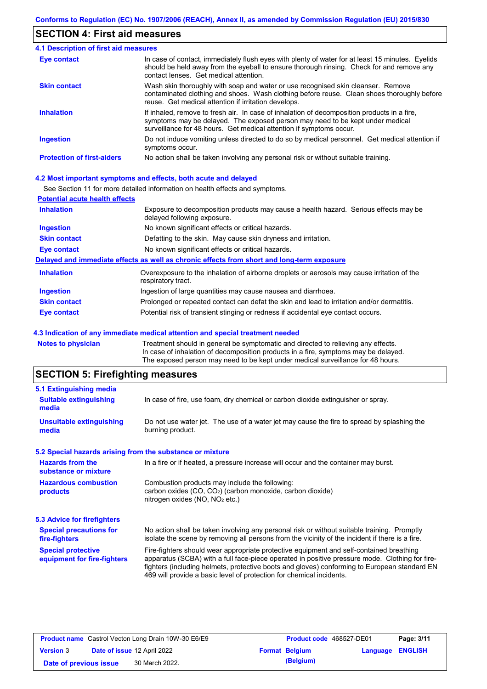## **SECTION 4: First aid measures**

| 4.1 Description of first aid measures |                                                                                                                                                                                                                                                     |
|---------------------------------------|-----------------------------------------------------------------------------------------------------------------------------------------------------------------------------------------------------------------------------------------------------|
| Eye contact                           | In case of contact, immediately flush eyes with plenty of water for at least 15 minutes. Eyelids<br>should be held away from the eyeball to ensure thorough rinsing. Check for and remove any<br>contact lenses. Get medical attention.             |
| <b>Skin contact</b>                   | Wash skin thoroughly with soap and water or use recognised skin cleanser. Remove<br>contaminated clothing and shoes. Wash clothing before reuse. Clean shoes thoroughly before<br>reuse. Get medical attention if irritation develops.              |
| <b>Inhalation</b>                     | If inhaled, remove to fresh air. In case of inhalation of decomposition products in a fire,<br>symptoms may be delayed. The exposed person may need to be kept under medical<br>surveillance for 48 hours. Get medical attention if symptoms occur. |
| <b>Ingestion</b>                      | Do not induce vomiting unless directed to do so by medical personnel. Get medical attention if<br>symptoms occur.                                                                                                                                   |
| <b>Protection of first-aiders</b>     | No action shall be taken involving any personal risk or without suitable training.                                                                                                                                                                  |

#### **4.2 Most important symptoms and effects, both acute and delayed**

See Section 11 for more detailed information on health effects and symptoms.

| <b>Potential acute health effects</b> |                                                                                                                     |
|---------------------------------------|---------------------------------------------------------------------------------------------------------------------|
| <b>Inhalation</b>                     | Exposure to decomposition products may cause a health hazard. Serious effects may be<br>delayed following exposure. |
| <b>Ingestion</b>                      | No known significant effects or critical hazards.                                                                   |
| <b>Skin contact</b>                   | Defatting to the skin. May cause skin dryness and irritation.                                                       |
| <b>Eye contact</b>                    | No known significant effects or critical hazards.                                                                   |
|                                       | Delayed and immediate effects as well as chronic effects from short and long-term exposure                          |
| <b>Inhalation</b>                     | Overexposure to the inhalation of airborne droplets or aerosols may cause irritation of the<br>respiratory tract.   |
| <b>Ingestion</b>                      | Ingestion of large quantities may cause nausea and diarrhoea.                                                       |
| <b>Skin contact</b>                   | Prolonged or repeated contact can defat the skin and lead to irritation and/or dermatitis.                          |
| Eye contact                           | Potential risk of transient stinging or redness if accidental eye contact occurs.                                   |
|                                       |                                                                                                                     |

#### **4.3 Indication of any immediate medical attention and special treatment needed**

**Notes to physician** Treatment should in general be symptomatic and directed to relieving any effects. In case of inhalation of decomposition products in a fire, symptoms may be delayed. The exposed person may need to be kept under medical surveillance for 48 hours.

# **SECTION 5: Firefighting measures**

| 5.1 Extinguishing media                                   |                                                                                                                                                                                                                                                                                                                                                                   |
|-----------------------------------------------------------|-------------------------------------------------------------------------------------------------------------------------------------------------------------------------------------------------------------------------------------------------------------------------------------------------------------------------------------------------------------------|
| <b>Suitable extinguishing</b><br>media                    | In case of fire, use foam, dry chemical or carbon dioxide extinguisher or spray.                                                                                                                                                                                                                                                                                  |
| <b>Unsuitable extinguishing</b><br>media                  | Do not use water jet. The use of a water jet may cause the fire to spread by splashing the<br>burning product.                                                                                                                                                                                                                                                    |
| 5.2 Special hazards arising from the substance or mixture |                                                                                                                                                                                                                                                                                                                                                                   |
| <b>Hazards from the</b><br>substance or mixture           | In a fire or if heated, a pressure increase will occur and the container may burst.                                                                                                                                                                                                                                                                               |
| <b>Hazardous combustion</b><br>products                   | Combustion products may include the following:<br>carbon oxides $(CO, CO2)$ (carbon monoxide, carbon dioxide)<br>nitrogen oxides ( $NO$ , $NO2$ etc.)                                                                                                                                                                                                             |
| 5.3 Advice for firefighters                               |                                                                                                                                                                                                                                                                                                                                                                   |
| <b>Special precautions for</b><br>fire-fighters           | No action shall be taken involving any personal risk or without suitable training. Promptly<br>isolate the scene by removing all persons from the vicinity of the incident if there is a fire.                                                                                                                                                                    |
| <b>Special protective</b><br>equipment for fire-fighters  | Fire-fighters should wear appropriate protective equipment and self-contained breathing<br>apparatus (SCBA) with a full face-piece operated in positive pressure mode. Clothing for fire-<br>fighters (including helmets, protective boots and gloves) conforming to European standard EN<br>469 will provide a basic level of protection for chemical incidents. |

| <b>Product name</b> Castrol Vecton Long Drain 10W-30 E6/E9 |  |                             | <b>Product code</b> 468527-DE01 |                       | Page: 3/11              |  |
|------------------------------------------------------------|--|-----------------------------|---------------------------------|-----------------------|-------------------------|--|
| <b>Version 3</b>                                           |  | Date of issue 12 April 2022 |                                 | <b>Format Belgium</b> | <b>Language ENGLISH</b> |  |
| Date of previous issue                                     |  | 30 March 2022.              |                                 | (Belgium)             |                         |  |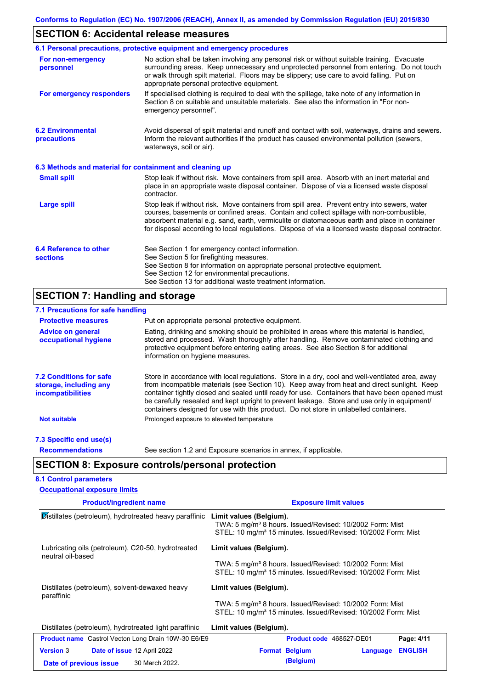# **SECTION 6: Accidental release measures**

|                                                          | 6.1 Personal precautions, protective equipment and emergency procedures                                                                                                                                                                                                                                                                                                                        |
|----------------------------------------------------------|------------------------------------------------------------------------------------------------------------------------------------------------------------------------------------------------------------------------------------------------------------------------------------------------------------------------------------------------------------------------------------------------|
| For non-emergency<br>personnel                           | No action shall be taken involving any personal risk or without suitable training. Evacuate<br>surrounding areas. Keep unnecessary and unprotected personnel from entering. Do not touch<br>or walk through spilt material. Floors may be slippery; use care to avoid falling. Put on<br>appropriate personal protective equipment.                                                            |
| For emergency responders                                 | If specialised clothing is required to deal with the spillage, take note of any information in<br>Section 8 on suitable and unsuitable materials. See also the information in "For non-<br>emergency personnel".                                                                                                                                                                               |
| <b>6.2 Environmental</b><br>precautions                  | Avoid dispersal of spilt material and runoff and contact with soil, waterways, drains and sewers.<br>Inform the relevant authorities if the product has caused environmental pollution (sewers,<br>waterways, soil or air).                                                                                                                                                                    |
| 6.3 Methods and material for containment and cleaning up |                                                                                                                                                                                                                                                                                                                                                                                                |
| <b>Small spill</b>                                       | Stop leak if without risk. Move containers from spill area. Absorb with an inert material and<br>place in an appropriate waste disposal container. Dispose of via a licensed waste disposal<br>contractor.                                                                                                                                                                                     |
| <b>Large spill</b>                                       | Stop leak if without risk. Move containers from spill area. Prevent entry into sewers, water<br>courses, basements or confined areas. Contain and collect spillage with non-combustible,<br>absorbent material e.g. sand, earth, vermiculite or diatomaceous earth and place in container<br>for disposal according to local regulations. Dispose of via a licensed waste disposal contractor. |
| 6.4 Reference to other<br><b>sections</b>                | See Section 1 for emergency contact information.<br>See Section 5 for firefighting measures.<br>See Section 8 for information on appropriate personal protective equipment.<br>See Section 12 for environmental precautions.<br>See Section 13 for additional waste treatment information.                                                                                                     |

## **SECTION 7: Handling and storage**

| 7.1 Precautions for safe handling                                             |                                                                                                                                                                                                                                                                                                                                                                                                                                                                                          |
|-------------------------------------------------------------------------------|------------------------------------------------------------------------------------------------------------------------------------------------------------------------------------------------------------------------------------------------------------------------------------------------------------------------------------------------------------------------------------------------------------------------------------------------------------------------------------------|
| <b>Protective measures</b>                                                    | Put on appropriate personal protective equipment.                                                                                                                                                                                                                                                                                                                                                                                                                                        |
| <b>Advice on general</b><br>occupational hygiene                              | Eating, drinking and smoking should be prohibited in areas where this material is handled,<br>stored and processed. Wash thoroughly after handling. Remove contaminated clothing and<br>protective equipment before entering eating areas. See also Section 8 for additional<br>information on hygiene measures.                                                                                                                                                                         |
| <b>7.2 Conditions for safe</b><br>storage, including any<br>incompatibilities | Store in accordance with local regulations. Store in a dry, cool and well-ventilated area, away<br>from incompatible materials (see Section 10). Keep away from heat and direct sunlight. Keep<br>container tightly closed and sealed until ready for use. Containers that have been opened must<br>be carefully resealed and kept upright to prevent leakage. Store and use only in equipment/<br>containers designed for use with this product. Do not store in unlabelled containers. |
| <b>Not suitable</b>                                                           | Prolonged exposure to elevated temperature                                                                                                                                                                                                                                                                                                                                                                                                                                               |
| 7.3 Specific end use(s)                                                       |                                                                                                                                                                                                                                                                                                                                                                                                                                                                                          |
| <b>Recommendations</b>                                                        | See section 1.2 and Exposure scenarios in annex, if applicable.                                                                                                                                                                                                                                                                                                                                                                                                                          |
|                                                                               | <b>SECTION 8: Exposure controls/personal protection</b>                                                                                                                                                                                                                                                                                                                                                                                                                                  |
| <b>8.1 Control parameters</b>                                                 |                                                                                                                                                                                                                                                                                                                                                                                                                                                                                          |
| <b>Occupational exposure limits</b>                                           |                                                                                                                                                                                                                                                                                                                                                                                                                                                                                          |
| <b>Product/ingredient name</b>                                                | <b>Exposure limit values</b>                                                                                                                                                                                                                                                                                                                                                                                                                                                             |
|                                                                               | <b>Distillates (petroleum), hydrotreated heavy paraffinic Limit values (Belgium).</b><br>TWA: 5 mg/m <sup>3</sup> 8 hours. Issued/Revised: 10/2002 Form: Mist                                                                                                                                                                                                                                                                                                                            |

| Lubricating oils (petroleum), C20-50, hydrotreated<br>neutral oil-based | Limit values (Belgium).                                                                                                                           |  |  |
|-------------------------------------------------------------------------|---------------------------------------------------------------------------------------------------------------------------------------------------|--|--|
|                                                                         | TWA: 5 mg/m <sup>3</sup> 8 hours. Issued/Revised: 10/2002 Form: Mist<br>STEL: 10 mg/m <sup>3</sup> 15 minutes. Issued/Revised: 10/2002 Form: Mist |  |  |
| Distillates (petroleum), solvent-dewaxed heavy<br>paraffinic            | Limit values (Belgium).                                                                                                                           |  |  |
|                                                                         | TWA: 5 mg/m <sup>3</sup> 8 hours. Issued/Revised: 10/2002 Form: Mist<br>STEL: 10 mg/m <sup>3</sup> 15 minutes. Issued/Revised: 10/2002 Form: Mist |  |  |
| Distillates (petroleum), hydrotreated light paraffinic                  | Limit values (Belgium).                                                                                                                           |  |  |
| <b>Product name</b> Castrol Vecton Long Drain 10W-30 E6/E9              | Product code 468527-DE01<br>Page: 4/11                                                                                                            |  |  |
| <b>Version 3</b><br><b>Date of issue 12 April 2022</b>                  | <b>ENGLISH</b><br><b>Format Belgium</b><br>Language                                                                                               |  |  |
| 30 March 2022.<br>Date of previous issue                                | (Belgium)                                                                                                                                         |  |  |

STEL: 10 mg/m<sup>3</sup> 15 minutes. Issued/Revised: 10/2002 Form: Mist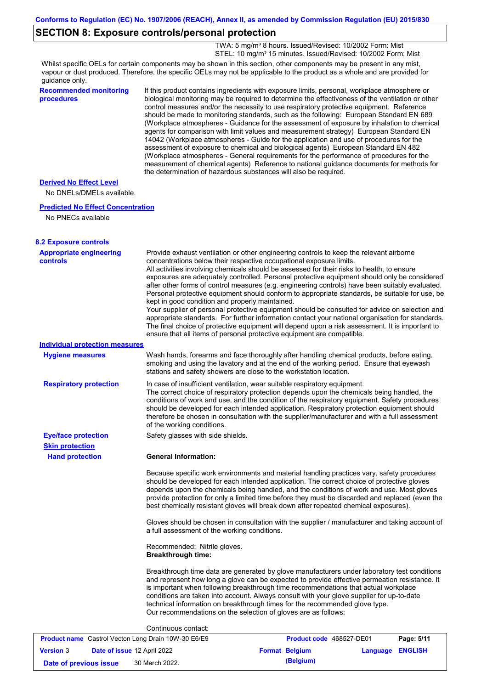## **SECTION 8: Exposure controls/personal protection**

 TWA: 5 mg/m³ 8 hours. Issued/Revised: 10/2002 Form: Mist STEL: 10 mg/m<sup>3</sup> 15 minutes. Issued/Revised: 10/2002 Form: Mist

Whilst specific OELs for certain components may be shown in this section, other components may be present in any mist, vapour or dust produced. Therefore, the specific OELs may not be applicable to the product as a whole and are provided for guidance only.

| <b>Recommended monitoring</b><br>procedures         | the determination of hazardous substances will also be required.                                                       | If this product contains ingredients with exposure limits, personal, workplace atmosphere or<br>biological monitoring may be required to determine the effectiveness of the ventilation or other<br>control measures and/or the necessity to use respiratory protective equipment. Reference<br>should be made to monitoring standards, such as the following: European Standard EN 689<br>(Workplace atmospheres - Guidance for the assessment of exposure by inhalation to chemical<br>agents for comparison with limit values and measurement strategy) European Standard EN<br>14042 (Workplace atmospheres - Guide for the application and use of procedures for the<br>assessment of exposure to chemical and biological agents) European Standard EN 482<br>(Workplace atmospheres - General requirements for the performance of procedures for the<br>measurement of chemical agents) Reference to national guidance documents for methods for |            |
|-----------------------------------------------------|------------------------------------------------------------------------------------------------------------------------|--------------------------------------------------------------------------------------------------------------------------------------------------------------------------------------------------------------------------------------------------------------------------------------------------------------------------------------------------------------------------------------------------------------------------------------------------------------------------------------------------------------------------------------------------------------------------------------------------------------------------------------------------------------------------------------------------------------------------------------------------------------------------------------------------------------------------------------------------------------------------------------------------------------------------------------------------------|------------|
| <b>Derived No Effect Level</b>                      |                                                                                                                        |                                                                                                                                                                                                                                                                                                                                                                                                                                                                                                                                                                                                                                                                                                                                                                                                                                                                                                                                                        |            |
| No DNELs/DMELs available.                           |                                                                                                                        |                                                                                                                                                                                                                                                                                                                                                                                                                                                                                                                                                                                                                                                                                                                                                                                                                                                                                                                                                        |            |
| <b>Predicted No Effect Concentration</b>            |                                                                                                                        |                                                                                                                                                                                                                                                                                                                                                                                                                                                                                                                                                                                                                                                                                                                                                                                                                                                                                                                                                        |            |
| No PNECs available                                  |                                                                                                                        |                                                                                                                                                                                                                                                                                                                                                                                                                                                                                                                                                                                                                                                                                                                                                                                                                                                                                                                                                        |            |
| <b>8.2 Exposure controls</b>                        |                                                                                                                        |                                                                                                                                                                                                                                                                                                                                                                                                                                                                                                                                                                                                                                                                                                                                                                                                                                                                                                                                                        |            |
| <b>Appropriate engineering</b><br><b>controls</b>   | concentrations below their respective occupational exposure limits.<br>kept in good condition and properly maintained. | Provide exhaust ventilation or other engineering controls to keep the relevant airborne<br>All activities involving chemicals should be assessed for their risks to health, to ensure<br>exposures are adequately controlled. Personal protective equipment should only be considered<br>after other forms of control measures (e.g. engineering controls) have been suitably evaluated.<br>Personal protective equipment should conform to appropriate standards, be suitable for use, be<br>Your supplier of personal protective equipment should be consulted for advice on selection and<br>appropriate standards. For further information contact your national organisation for standards.<br>The final choice of protective equipment will depend upon a risk assessment. It is important to<br>ensure that all items of personal protective equipment are compatible.                                                                          |            |
| <b>Individual protection measures</b>               |                                                                                                                        |                                                                                                                                                                                                                                                                                                                                                                                                                                                                                                                                                                                                                                                                                                                                                                                                                                                                                                                                                        |            |
| <b>Hygiene measures</b>                             | stations and safety showers are close to the workstation location.                                                     | Wash hands, forearms and face thoroughly after handling chemical products, before eating,<br>smoking and using the lavatory and at the end of the working period. Ensure that eyewash                                                                                                                                                                                                                                                                                                                                                                                                                                                                                                                                                                                                                                                                                                                                                                  |            |
| <b>Respiratory protection</b>                       | of the working conditions.                                                                                             | In case of insufficient ventilation, wear suitable respiratory equipment.<br>The correct choice of respiratory protection depends upon the chemicals being handled, the<br>conditions of work and use, and the condition of the respiratory equipment. Safety procedures<br>should be developed for each intended application. Respiratory protection equipment should<br>therefore be chosen in consultation with the supplier/manufacturer and with a full assessment                                                                                                                                                                                                                                                                                                                                                                                                                                                                                |            |
| <b>Eye/face protection</b>                          | Safety glasses with side shields.                                                                                      |                                                                                                                                                                                                                                                                                                                                                                                                                                                                                                                                                                                                                                                                                                                                                                                                                                                                                                                                                        |            |
| <b>Skin protection</b>                              |                                                                                                                        |                                                                                                                                                                                                                                                                                                                                                                                                                                                                                                                                                                                                                                                                                                                                                                                                                                                                                                                                                        |            |
| <b>Hand protection</b>                              | <b>General Information:</b>                                                                                            |                                                                                                                                                                                                                                                                                                                                                                                                                                                                                                                                                                                                                                                                                                                                                                                                                                                                                                                                                        |            |
|                                                     |                                                                                                                        | Because specific work environments and material handling practices vary, safety procedures<br>should be developed for each intended application. The correct choice of protective gloves<br>depends upon the chemicals being handled, and the conditions of work and use. Most gloves<br>provide protection for only a limited time before they must be discarded and replaced (even the<br>best chemically resistant gloves will break down after repeated chemical exposures).                                                                                                                                                                                                                                                                                                                                                                                                                                                                       |            |
|                                                     | a full assessment of the working conditions.                                                                           | Gloves should be chosen in consultation with the supplier / manufacturer and taking account of                                                                                                                                                                                                                                                                                                                                                                                                                                                                                                                                                                                                                                                                                                                                                                                                                                                         |            |
|                                                     | Recommended: Nitrile gloves.<br><b>Breakthrough time:</b>                                                              |                                                                                                                                                                                                                                                                                                                                                                                                                                                                                                                                                                                                                                                                                                                                                                                                                                                                                                                                                        |            |
|                                                     | Our recommendations on the selection of gloves are as follows:                                                         | Breakthrough time data are generated by glove manufacturers under laboratory test conditions<br>and represent how long a glove can be expected to provide effective permeation resistance. It<br>is important when following breakthrough time recommendations that actual workplace<br>conditions are taken into account. Always consult with your glove supplier for up-to-date<br>technical information on breakthrough times for the recommended glove type.                                                                                                                                                                                                                                                                                                                                                                                                                                                                                       |            |
|                                                     | Continuous contact:                                                                                                    |                                                                                                                                                                                                                                                                                                                                                                                                                                                                                                                                                                                                                                                                                                                                                                                                                                                                                                                                                        |            |
| Product name Castrol Vecton Long Drain 10W-30 E6/E9 |                                                                                                                        | Product code 468527-DE01                                                                                                                                                                                                                                                                                                                                                                                                                                                                                                                                                                                                                                                                                                                                                                                                                                                                                                                               | Page: 5/11 |

|                        | <b>FIGURE HAIRS</b> CASHOL VECTOR LONG DIAIL TO VY-30 LOILS |                       | <b>FIGURE COUP HOODE</b> | гач <del>с</del> . Элт |  |
|------------------------|-------------------------------------------------------------|-----------------------|--------------------------|------------------------|--|
| <b>Version 3</b>       | Date of issue 12 April 2022                                 | <b>Format Belgium</b> |                          | Language ENGLISH       |  |
| Date of previous issue | 30 March 2022.                                              |                       | (Belgium)                |                        |  |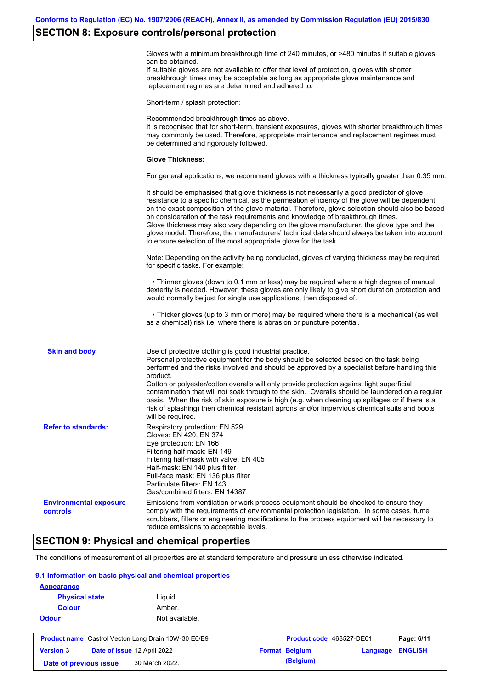#### **SECTION 8: Exposure controls/personal protection**

Gloves with a minimum breakthrough time of 240 minutes, or >480 minutes if suitable gloves can be obtained.

If suitable gloves are not available to offer that level of protection, gloves with shorter breakthrough times may be acceptable as long as appropriate glove maintenance and replacement regimes are determined and adhered to.

Short-term / splash protection:

Recommended breakthrough times as above. It is recognised that for short-term, transient exposures, gloves with shorter breakthrough times may commonly be used. Therefore, appropriate maintenance and replacement regimes must be determined and rigorously followed. **Glove Thickness:** For general applications, we recommend gloves with a thickness typically greater than 0.35 mm. It should be emphasised that glove thickness is not necessarily a good predictor of glove resistance to a specific chemical, as the permeation efficiency of the glove will be dependent on the exact composition of the glove material. Therefore, glove selection should also be based on consideration of the task requirements and knowledge of breakthrough times. Glove thickness may also vary depending on the glove manufacturer, the glove type and the glove model. Therefore, the manufacturers' technical data should always be taken into account to ensure selection of the most appropriate glove for the task. Note: Depending on the activity being conducted, gloves of varying thickness may be required for specific tasks. For example: • Thinner gloves (down to 0.1 mm or less) may be required where a high degree of manual dexterity is needed. However, these gloves are only likely to give short duration protection and would normally be just for single use applications, then disposed of. • Thicker gloves (up to 3 mm or more) may be required where there is a mechanical (as well as a chemical) risk i.e. where there is abrasion or puncture potential. Use of protective clothing is good industrial practice. Personal protective equipment for the body should be selected based on the task being performed and the risks involved and should be approved by a specialist before handling this product. Cotton or polyester/cotton overalls will only provide protection against light superficial contamination that will not soak through to the skin. Overalls should be laundered on a regular basis. When the risk of skin exposure is high (e.g. when cleaning up spillages or if there is a risk of splashing) then chemical resistant aprons and/or impervious chemical suits and boots will be required. **Environmental exposure controls** Emissions from ventilation or work process equipment should be checked to ensure they comply with the requirements of environmental protection legislation. In some cases, fume scrubbers, filters or engineering modifications to the process equipment will be necessary to reduce emissions to acceptable levels. **Skin and body Refer to standards:** Respiratory protection: EN 529 Gloves: EN 420, EN 374 Eye protection: EN 166 Filtering half-mask: EN 149 Filtering half-mask with valve: EN 405 Half-mask: EN 140 plus filter Full-face mask: EN 136 plus filter Particulate filters: EN 143 Gas/combined filters: EN 14387

## **SECTION 9: Physical and chemical properties**

The conditions of measurement of all properties are at standard temperature and pressure unless otherwise indicated.

#### **9.1 Information on basic physical and chemical properties**

| <b>Appearance</b>                                          |                             |                          |          |                |
|------------------------------------------------------------|-----------------------------|--------------------------|----------|----------------|
| <b>Physical state</b>                                      | Liguid.                     |                          |          |                |
| <b>Colour</b>                                              | Amber.                      |                          |          |                |
| <b>Odour</b>                                               | Not available.              |                          |          |                |
| <b>Product name</b> Castrol Vecton Long Drain 10W-30 E6/E9 |                             | Product code 468527-DE01 |          | Page: 6/11     |
|                                                            |                             |                          |          |                |
| <b>Version 3</b>                                           | Date of issue 12 April 2022 | <b>Format Belgium</b>    | Language | <b>ENGLISH</b> |
| Date of previous issue                                     | 30 March 2022.              | (Belgium)                |          |                |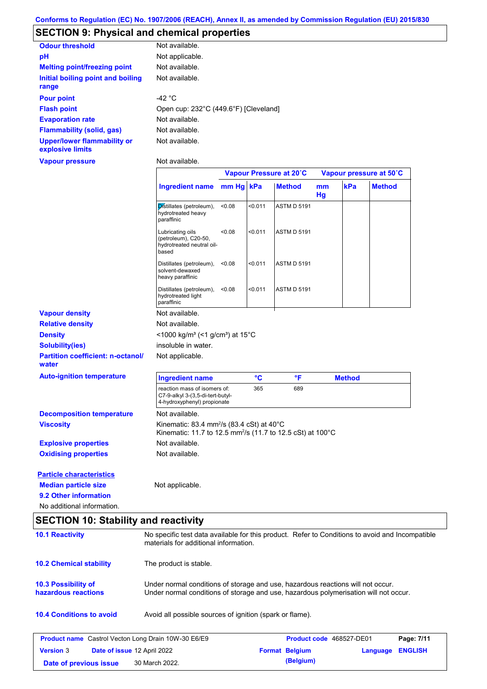## **SECTION 9: Physical and chemical properties**

| <b>Odour threshold</b>                                 | Not available.                        |
|--------------------------------------------------------|---------------------------------------|
| рH                                                     | Not applicable.                       |
| <b>Melting point/freezing point</b>                    | Not available.                        |
| Initial boiling point and boiling<br>range             | Not available.                        |
| <b>Pour point</b>                                      | -42 $^{\circ}$ C                      |
| <b>Flash point</b>                                     | Open cup: 232°C (449.6°F) [Cleveland] |
| <b>Evaporation rate</b>                                | Not available.                        |
| <b>Flammability (solid, gas)</b>                       | Not available.                        |
| <b>Upper/lower flammability or</b><br>explosive limits | Not available.                        |

#### **Vapour pressure**

Not available.

|                                                                |                                                                                                                                                                         |           |         | Vapour Pressure at 20°C |          |               | Vapour pressure at 50°C |
|----------------------------------------------------------------|-------------------------------------------------------------------------------------------------------------------------------------------------------------------------|-----------|---------|-------------------------|----------|---------------|-------------------------|
|                                                                |                                                                                                                                                                         |           |         |                         |          |               |                         |
|                                                                | <b>Ingredient name</b>                                                                                                                                                  | mm Hg kPa |         | <b>Method</b>           | mm<br>Hg | kPa           | <b>Method</b>           |
|                                                                | Distillates (petroleum),<br>hydrotreated heavy<br>paraffinic                                                                                                            | < 0.08    | < 0.011 | <b>ASTM D 5191</b>      |          |               |                         |
|                                                                | Lubricating oils<br>(petroleum), C20-50,<br>hydrotreated neutral oil-<br>based                                                                                          | < 0.08    | < 0.011 | <b>ASTM D 5191</b>      |          |               |                         |
|                                                                | Distillates (petroleum),<br>solvent-dewaxed<br>heavy paraffinic                                                                                                         | < 0.08    | < 0.011 | <b>ASTM D 5191</b>      |          |               |                         |
|                                                                | Distillates (petroleum),<br>hydrotreated light<br>paraffinic                                                                                                            | < 0.08    | < 0.011 | <b>ASTM D 5191</b>      |          |               |                         |
| <b>Vapour density</b>                                          | Not available.                                                                                                                                                          |           |         |                         |          |               |                         |
| <b>Relative density</b>                                        | Not available.                                                                                                                                                          |           |         |                         |          |               |                         |
| <b>Density</b>                                                 | <1000 kg/m <sup>3</sup> (<1 g/cm <sup>3</sup> ) at 15°C                                                                                                                 |           |         |                         |          |               |                         |
| <b>Solubility(ies)</b>                                         | insoluble in water.                                                                                                                                                     |           |         |                         |          |               |                         |
| <b>Partition coefficient: n-octanol/</b><br>water              | Not applicable.                                                                                                                                                         |           |         |                         |          |               |                         |
| <b>Auto-ignition temperature</b>                               | <b>Ingredient name</b>                                                                                                                                                  |           | °C      | $\mathsf{P}$            |          | <b>Method</b> |                         |
|                                                                | reaction mass of isomers of:<br>C7-9-alkyl 3-(3,5-di-tert-butyl-<br>4-hydroxyphenyl) propionate                                                                         |           | 365     | 689                     |          |               |                         |
| <b>Decomposition temperature</b>                               | Not available.                                                                                                                                                          |           |         |                         |          |               |                         |
| <b>Viscosity</b>                                               | Kinematic: 83.4 mm <sup>2</sup> /s (83.4 cSt) at 40 $^{\circ}$ C<br>Kinematic: 11.7 to 12.5 mm <sup>2</sup> /s (11.7 to 12.5 cSt) at 100°C                              |           |         |                         |          |               |                         |
| <b>Explosive properties</b>                                    | Not available.                                                                                                                                                          |           |         |                         |          |               |                         |
| <b>Oxidising properties</b>                                    | Not available.                                                                                                                                                          |           |         |                         |          |               |                         |
| <b>Particle characteristics</b><br><b>Median particle size</b> | Not applicable.                                                                                                                                                         |           |         |                         |          |               |                         |
| 9.2 Other information                                          |                                                                                                                                                                         |           |         |                         |          |               |                         |
| No additional information.                                     |                                                                                                                                                                         |           |         |                         |          |               |                         |
| <b>SECTION 10: Stability and reactivity</b>                    |                                                                                                                                                                         |           |         |                         |          |               |                         |
| <b>10.1 Reactivity</b>                                         | No specific test data available for this product. Refer to Conditions to avoid and Incompatible<br>materials for additional information.                                |           |         |                         |          |               |                         |
| <b>10.2 Chemical stability</b>                                 | The product is stable.                                                                                                                                                  |           |         |                         |          |               |                         |
| <b>10.3 Possibility of</b><br>hazardous reactions              | Under normal conditions of storage and use, hazardous reactions will not occur.<br>Under normal conditions of storage and use, hazardous polymerisation will not occur. |           |         |                         |          |               |                         |
| <b>10.4 Conditions to avoid</b>                                | Avoid all possible sources of ignition (spark or flame).                                                                                                                |           |         |                         |          |               |                         |

|                        | <b>Product name</b> Castrol Vecton Long Drain 10W-30 E6/E9 | <b>Product code</b> 468527-DE01 |                         | Page: 7/11 |
|------------------------|------------------------------------------------------------|---------------------------------|-------------------------|------------|
| <b>Version 3</b>       | <b>Date of issue 12 April 2022</b>                         | <b>Format Belgium</b>           | <b>Language ENGLISH</b> |            |
| Date of previous issue | 30 March 2022.                                             | (Belgium)                       |                         |            |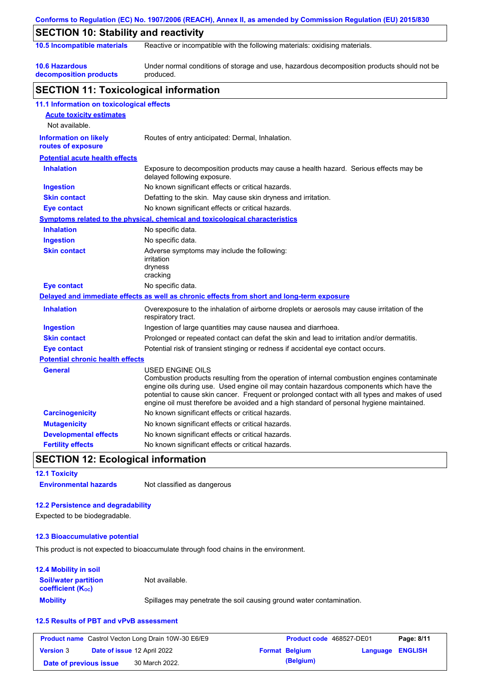|                                                    | Conforms to Regulation (EC) No. 1907/2006 (REACH), Annex II, as amended by Commission Regulation (EU) 2015/830                                                                                                                                                                                                                                                                                                  |  |  |  |  |
|----------------------------------------------------|-----------------------------------------------------------------------------------------------------------------------------------------------------------------------------------------------------------------------------------------------------------------------------------------------------------------------------------------------------------------------------------------------------------------|--|--|--|--|
| <b>SECTION 10: Stability and reactivity</b>        |                                                                                                                                                                                                                                                                                                                                                                                                                 |  |  |  |  |
| 10.5 Incompatible materials                        | Reactive or incompatible with the following materials: oxidising materials.                                                                                                                                                                                                                                                                                                                                     |  |  |  |  |
| <b>10.6 Hazardous</b><br>decomposition products    | Under normal conditions of storage and use, hazardous decomposition products should not be<br>produced.                                                                                                                                                                                                                                                                                                         |  |  |  |  |
| <b>SECTION 11: Toxicological information</b>       |                                                                                                                                                                                                                                                                                                                                                                                                                 |  |  |  |  |
| 11.1 Information on toxicological effects          |                                                                                                                                                                                                                                                                                                                                                                                                                 |  |  |  |  |
| <b>Acute toxicity estimates</b>                    |                                                                                                                                                                                                                                                                                                                                                                                                                 |  |  |  |  |
| Not available.                                     |                                                                                                                                                                                                                                                                                                                                                                                                                 |  |  |  |  |
| <b>Information on likely</b><br>routes of exposure | Routes of entry anticipated: Dermal, Inhalation.                                                                                                                                                                                                                                                                                                                                                                |  |  |  |  |
| <b>Potential acute health effects</b>              |                                                                                                                                                                                                                                                                                                                                                                                                                 |  |  |  |  |
| <b>Inhalation</b>                                  | Exposure to decomposition products may cause a health hazard. Serious effects may be<br>delayed following exposure.                                                                                                                                                                                                                                                                                             |  |  |  |  |
| <b>Ingestion</b>                                   | No known significant effects or critical hazards.                                                                                                                                                                                                                                                                                                                                                               |  |  |  |  |
| <b>Skin contact</b>                                | Defatting to the skin. May cause skin dryness and irritation.                                                                                                                                                                                                                                                                                                                                                   |  |  |  |  |
| <b>Eye contact</b>                                 | No known significant effects or critical hazards.                                                                                                                                                                                                                                                                                                                                                               |  |  |  |  |
|                                                    | <b>Symptoms related to the physical, chemical and toxicological characteristics</b>                                                                                                                                                                                                                                                                                                                             |  |  |  |  |
| <b>Inhalation</b>                                  | No specific data.                                                                                                                                                                                                                                                                                                                                                                                               |  |  |  |  |
| <b>Ingestion</b>                                   | No specific data.                                                                                                                                                                                                                                                                                                                                                                                               |  |  |  |  |
| <b>Skin contact</b>                                | Adverse symptoms may include the following:<br>irritation<br>dryness<br>cracking                                                                                                                                                                                                                                                                                                                                |  |  |  |  |
| <b>Eye contact</b>                                 | No specific data.                                                                                                                                                                                                                                                                                                                                                                                               |  |  |  |  |
|                                                    | Delayed and immediate effects as well as chronic effects from short and long-term exposure                                                                                                                                                                                                                                                                                                                      |  |  |  |  |
| <b>Inhalation</b>                                  | Overexposure to the inhalation of airborne droplets or aerosols may cause irritation of the<br>respiratory tract.                                                                                                                                                                                                                                                                                               |  |  |  |  |
| <b>Ingestion</b>                                   | Ingestion of large quantities may cause nausea and diarrhoea.                                                                                                                                                                                                                                                                                                                                                   |  |  |  |  |
| <b>Skin contact</b>                                | Prolonged or repeated contact can defat the skin and lead to irritation and/or dermatitis.                                                                                                                                                                                                                                                                                                                      |  |  |  |  |
| <b>Eye contact</b>                                 | Potential risk of transient stinging or redness if accidental eye contact occurs.                                                                                                                                                                                                                                                                                                                               |  |  |  |  |
| <b>Potential chronic health effects</b>            |                                                                                                                                                                                                                                                                                                                                                                                                                 |  |  |  |  |
| <b>General</b>                                     | <b>USED ENGINE OILS</b><br>Combustion products resulting from the operation of internal combustion engines contaminate<br>engine oils during use. Used engine oil may contain hazardous components which have the<br>potential to cause skin cancer. Frequent or prolonged contact with all types and makes of used<br>engine oil must therefore be avoided and a high standard of personal hygiene maintained. |  |  |  |  |
| <b>Carcinogenicity</b>                             | No known significant effects or critical hazards.                                                                                                                                                                                                                                                                                                                                                               |  |  |  |  |
| <b>Mutagenicity</b>                                | No known significant effects or critical hazards.                                                                                                                                                                                                                                                                                                                                                               |  |  |  |  |
| <b>Developmental effects</b>                       | No known significant effects or critical hazards.                                                                                                                                                                                                                                                                                                                                                               |  |  |  |  |
| <b>Fertility effects</b>                           | No known significant effects or critical hazards.                                                                                                                                                                                                                                                                                                                                                               |  |  |  |  |

## **SECTION 12: Ecological information**

**12.1 Toxicity Environmental hazards** Not classified as dangerous

#### **12.2 Persistence and degradability**

Expected to be biodegradable.

#### **12.3 Bioaccumulative potential**

This product is not expected to bioaccumulate through food chains in the environment.

#### **12.4 Mobility in soil**

| <b>Soil/water partition</b><br><b>coefficient</b> (K <sub>oc</sub> ) | Not available.                                                       |
|----------------------------------------------------------------------|----------------------------------------------------------------------|
| <b>Mobility</b>                                                      | Spillages may penetrate the soil causing ground water contamination. |

#### **12.5 Results of PBT and vPvB assessment**

|                        | <b>Product name</b> Castrol Vecton Long Drain 10W-30 E6/E9 | Product code 468527-DE01 |                  | Page: 8/11 |
|------------------------|------------------------------------------------------------|--------------------------|------------------|------------|
| <b>Version 3</b>       | <b>Date of issue 12 April 2022</b>                         | <b>Format Belgium</b>    | Language ENGLISH |            |
| Date of previous issue | 30 March 2022.                                             | (Belgium)                |                  |            |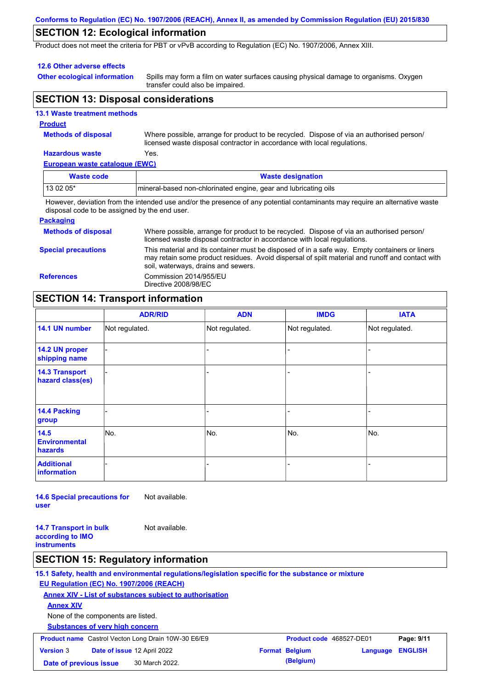#### **Conforms to Regulation (EC) No. 1907/2006 (REACH), Annex II, as amended by Commission Regulation (EU) 2015/830**

## **SECTION 12: Ecological information**

Product does not meet the criteria for PBT or vPvB according to Regulation (EC) No. 1907/2006, Annex XIII.

#### **12.6 Other adverse effects**

**Other ecological information**

Spills may form a film on water surfaces causing physical damage to organisms. Oxygen transfer could also be impaired.

## **SECTION 13: Disposal considerations**

|   | <b>13.1 Waste treatment methods</b> |
|---|-------------------------------------|
| . |                                     |

#### **Product**

**Methods of disposal**

Where possible, arrange for product to be recycled. Dispose of via an authorised person/ licensed waste disposal contractor in accordance with local regulations.

#### **Hazardous waste** Yes.

**European waste catalogue (EWC)**

| Waste code                                                                                                                 | <b>Waste designation</b>                                        |  |  |  |
|----------------------------------------------------------------------------------------------------------------------------|-----------------------------------------------------------------|--|--|--|
| $130205*$                                                                                                                  | mineral-based non-chlorinated engine, gear and lubricating oils |  |  |  |
| However deviation from the intended use and/or the presence of any notential contaminants may require an alternative waste |                                                                 |  |  |  |

However, deviation from the intended use and/or the presence of any potential contaminants may require an alternative waste disposal code to be assigned by the end user.

#### **Packaging**

| <b>Methods of disposal</b> | Where possible, arrange for product to be recycled. Dispose of via an authorised person/<br>licensed waste disposal contractor in accordance with local regulations.                                                                    |
|----------------------------|-----------------------------------------------------------------------------------------------------------------------------------------------------------------------------------------------------------------------------------------|
| <b>Special precautions</b> | This material and its container must be disposed of in a safe way. Empty containers or liners<br>may retain some product residues. Avoid dispersal of spilt material and runoff and contact with<br>soil, waterways, drains and sewers. |
| <b>References</b>          | Commission 2014/955/EU<br>Directive 2008/98/EC                                                                                                                                                                                          |

## **SECTION 14: Transport information**

|                                           | <b>ADR/RID</b> | <b>ADN</b>     | <b>IMDG</b>    | <b>IATA</b>    |
|-------------------------------------------|----------------|----------------|----------------|----------------|
| 14.1 UN number                            | Not regulated. | Not regulated. | Not regulated. | Not regulated. |
| 14.2 UN proper<br>shipping name           |                |                |                |                |
| <b>14.3 Transport</b><br>hazard class(es) |                |                |                |                |
| 14.4 Packing<br>group                     |                |                |                |                |
| 14.5<br><b>Environmental</b><br>hazards   | No.            | No.            | No.            | No.            |
| <b>Additional</b><br><b>information</b>   |                |                |                |                |

**14.6 Special precautions for user** Not available.

**14.7 Transport in bulk according to IMO instruments** Not available.

### **SECTION 15: Regulatory information**

**15.1 Safety, health and environmental regulations/legislation specific for the substance or mixture EU Regulation (EC) No. 1907/2006 (REACH) Annex XIV - List of substances subject to authorisation Substances of very high concern** None of the components are listed. **Annex XIV Product name** Castrol Vecton Long Drain 10W-30 E6/E9 **Product code** 468527-DE01 **Page: 9/11 Version** 3 **Date of issue** 12 April 2022 **Format Belgium Language ENGLISH Date of previous issue 30 March 2022. (Belgium) (Belgium)**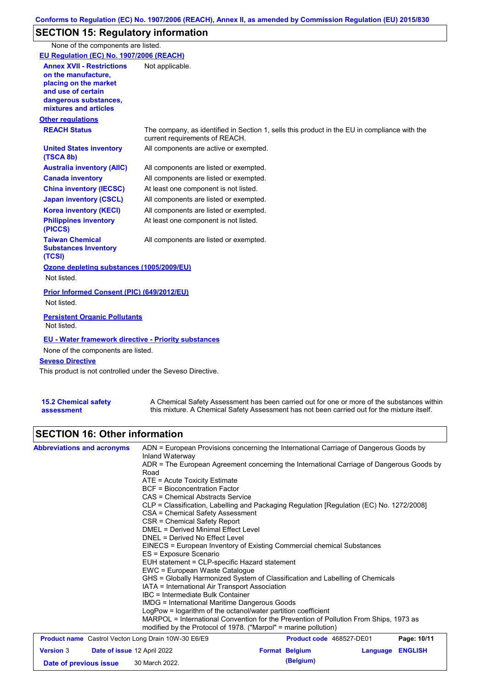# **SECTION 15: Regulatory information**

None of the components are listed.

| EU Regulation (EC) No. 1907/2006 (REACH)                                                                                                                 |                                                                                                                                |
|----------------------------------------------------------------------------------------------------------------------------------------------------------|--------------------------------------------------------------------------------------------------------------------------------|
| <b>Annex XVII - Restrictions</b><br>on the manufacture.<br>placing on the market<br>and use of certain<br>dangerous substances,<br>mixtures and articles | Not applicable.                                                                                                                |
| <b>Other regulations</b>                                                                                                                                 |                                                                                                                                |
| <b>REACH Status</b>                                                                                                                                      | The company, as identified in Section 1, sells this product in the EU in compliance with the<br>current requirements of REACH. |
| <b>United States inventory</b><br>(TSCA 8b)                                                                                                              | All components are active or exempted.                                                                                         |
| <b>Australia inventory (AIIC)</b>                                                                                                                        | All components are listed or exempted.                                                                                         |
| <b>Canada inventory</b>                                                                                                                                  | All components are listed or exempted.                                                                                         |
| <b>China inventory (IECSC)</b>                                                                                                                           | At least one component is not listed.                                                                                          |
| <b>Japan inventory (CSCL)</b>                                                                                                                            | All components are listed or exempted.                                                                                         |
| <b>Korea inventory (KECI)</b>                                                                                                                            | All components are listed or exempted.                                                                                         |
| <b>Philippines inventory</b><br>(PICCS)                                                                                                                  | At least one component is not listed.                                                                                          |
| <b>Taiwan Chemical</b><br><b>Substances Inventory</b><br>(TCSI)                                                                                          | All components are listed or exempted.                                                                                         |
| Ozone depleting substances (1005/2009/EU)<br>Not listed.                                                                                                 |                                                                                                                                |
| Prior Informed Consent (PIC) (649/2012/EU)<br>Not listed.                                                                                                |                                                                                                                                |
| <b>Persistent Organic Pollutants</b><br>Not listed.                                                                                                      |                                                                                                                                |
| <b>EU - Water framework directive - Priority substances</b><br>None of the components are listed.<br><b>Seveso Directive</b>                             |                                                                                                                                |
| This product is not controlled under the Seveso Directive                                                                                                |                                                                                                                                |

This product is not controlled under the Seveso Directive.

| <b>15.2 Chemical safety</b> | A Chemical Safety Assessment has been carried out for one or more of the substances within  |
|-----------------------------|---------------------------------------------------------------------------------------------|
| assessment                  | this mixture. A Chemical Safety Assessment has not been carried out for the mixture itself. |

# **SECTION 16: Other information**

| <b>Abbreviations and acronyms</b>               | ADN = European Provisions concerning the International Carriage of Dangerous Goods by<br>Inland Waterway                                                                                                                                                                                                                                                                             |                       |                                 |                |             |                                                                                                                                                        |
|-------------------------------------------------|--------------------------------------------------------------------------------------------------------------------------------------------------------------------------------------------------------------------------------------------------------------------------------------------------------------------------------------------------------------------------------------|-----------------------|---------------------------------|----------------|-------------|--------------------------------------------------------------------------------------------------------------------------------------------------------|
|                                                 | ADR = The European Agreement concerning the International Carriage of Dangerous Goods by<br>Road                                                                                                                                                                                                                                                                                     |                       |                                 |                |             |                                                                                                                                                        |
|                                                 | $ATE = Acute Toxicity Estimate$                                                                                                                                                                                                                                                                                                                                                      |                       |                                 |                |             |                                                                                                                                                        |
|                                                 | <b>BCF</b> = Bioconcentration Factor                                                                                                                                                                                                                                                                                                                                                 |                       |                                 |                |             |                                                                                                                                                        |
|                                                 | CAS = Chemical Abstracts Service<br>CLP = Classification, Labelling and Packaging Regulation [Regulation (EC) No. 1272/2008]<br>CSA = Chemical Safety Assessment<br>CSR = Chemical Safety Report<br><b>DMEL = Derived Minimal Effect Level</b><br>DNEL = Derived No Effect Level<br>EINECS = European Inventory of Existing Commercial chemical Substances<br>ES = Exposure Scenario |                       |                                 |                |             |                                                                                                                                                        |
|                                                 |                                                                                                                                                                                                                                                                                                                                                                                      |                       |                                 |                |             |                                                                                                                                                        |
|                                                 |                                                                                                                                                                                                                                                                                                                                                                                      |                       |                                 |                |             |                                                                                                                                                        |
|                                                 |                                                                                                                                                                                                                                                                                                                                                                                      |                       |                                 |                |             |                                                                                                                                                        |
|                                                 |                                                                                                                                                                                                                                                                                                                                                                                      |                       |                                 |                |             |                                                                                                                                                        |
|                                                 |                                                                                                                                                                                                                                                                                                                                                                                      |                       |                                 |                |             |                                                                                                                                                        |
|                                                 |                                                                                                                                                                                                                                                                                                                                                                                      |                       |                                 |                |             |                                                                                                                                                        |
|                                                 | EUH statement = CLP-specific Hazard statement                                                                                                                                                                                                                                                                                                                                        |                       |                                 |                |             |                                                                                                                                                        |
|                                                 | EWC = European Waste Catalogue<br>GHS = Globally Harmonized System of Classification and Labelling of Chemicals<br>IATA = International Air Transport Association<br>IBC = Intermediate Bulk Container<br>IMDG = International Maritime Dangerous Goods                                                                                                                              |                       |                                 |                |             |                                                                                                                                                        |
|                                                 |                                                                                                                                                                                                                                                                                                                                                                                      |                       |                                 |                |             |                                                                                                                                                        |
|                                                 |                                                                                                                                                                                                                                                                                                                                                                                      |                       |                                 |                |             |                                                                                                                                                        |
|                                                 |                                                                                                                                                                                                                                                                                                                                                                                      |                       |                                 |                |             |                                                                                                                                                        |
|                                                 |                                                                                                                                                                                                                                                                                                                                                                                      |                       |                                 |                |             | LogPow = logarithm of the octanol/water partition coefficient<br>MARPOL = International Convention for the Prevention of Pollution From Ships, 1973 as |
|                                                 | modified by the Protocol of 1978. ("Marpol" = marine pollution)                                                                                                                                                                                                                                                                                                                      |                       |                                 |                |             |                                                                                                                                                        |
|                                                 | <b>Product name</b> Castrol Vecton Long Drain 10W-30 E6/E9                                                                                                                                                                                                                                                                                                                           |                       | <b>Product code</b> 468527-DE01 |                | Page: 10/11 |                                                                                                                                                        |
| <b>Version 3</b><br>Date of issue 12 April 2022 |                                                                                                                                                                                                                                                                                                                                                                                      | <b>Format Belgium</b> | Language                        | <b>ENGLISH</b> |             |                                                                                                                                                        |

**Date of previous issue (Belgium)** 30 March 2022.